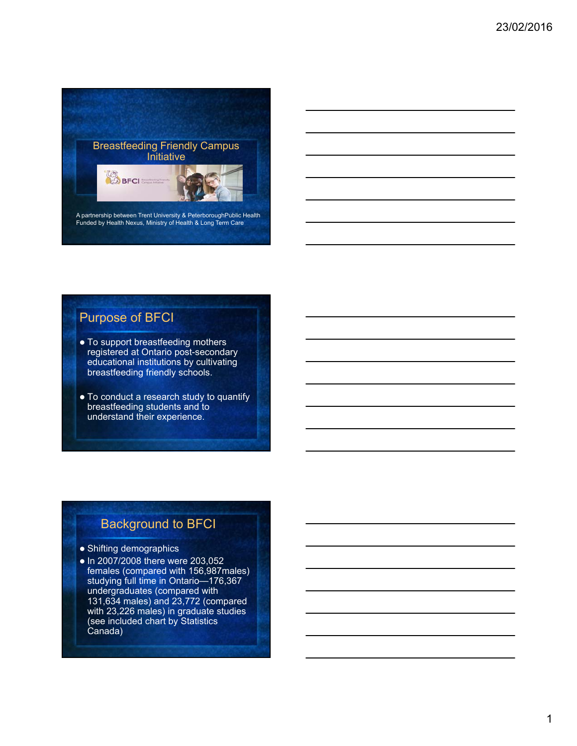

## Purpose of BFCI

- To support breastfeeding mothers registered at Ontario post-secondary educational institutions by cultivating breastfeeding friendly schools.
- To conduct a research study to quantify breastfeeding students and to understand their experience.

## Background to BFCI

- Shifting demographics
- In 2007/2008 there were 203,052 females (compared with 156,987males) studying full time in Ontario—176,367 undergraduates (compared with 131,634 males) and 23,772 (compared with 23,226 males) in graduate studies (see included chart by Statistics Canada)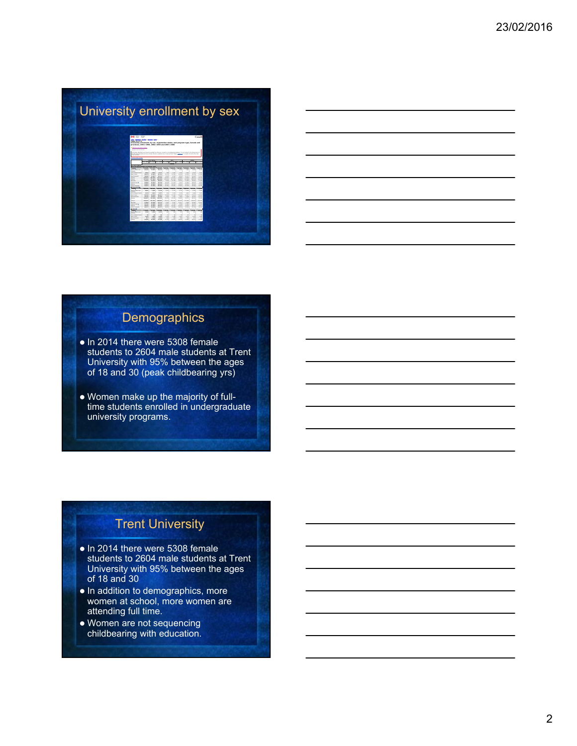# University enrollment by sex



| <u> 1989 - Johann Barn, mars and de Branch Barn, mars and de Branch Barn, mars and de Branch Barn, mars and de Br</u> |  |  |
|-----------------------------------------------------------------------------------------------------------------------|--|--|
| <u> 1989 - Johann Barn, mars and de Branch Barn, mars and de Branch Barn, mars and de Branch Barn, mars and de Br</u> |  |  |
|                                                                                                                       |  |  |
|                                                                                                                       |  |  |

## **Demographics**

- In 2014 there were 5308 female students to 2604 male students at Trent University with 95% between the ages of 18 and 30 (peak childbearing yrs)
- Women make up the majority of fulltime students enrolled in undergraduate university programs.

## Trent University

- In 2014 there were 5308 female students to 2604 male students at Trent University with 95% between the ages of 18 and 30
- . In addition to demographics, more women at school, more women are attending full time.
- Women are not sequencing childbearing with education.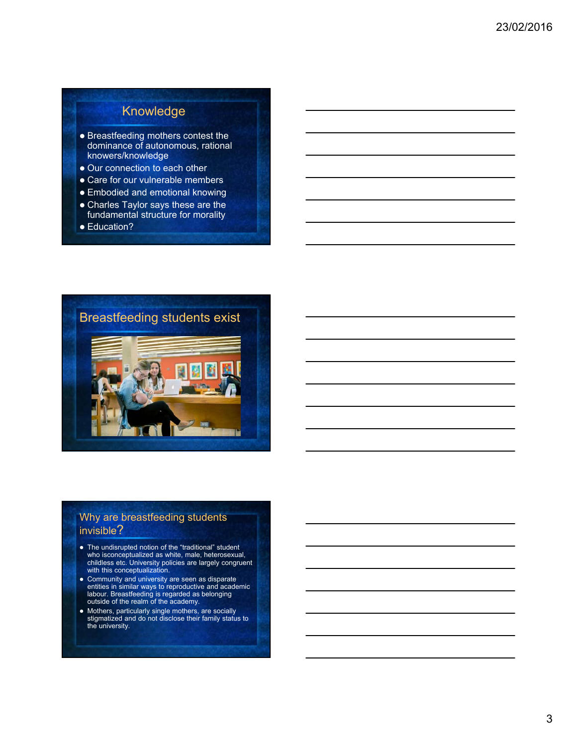## Knowledge

- Breastfeeding mothers contest the dominance of autonomous, rational knowers/knowledge
- Our connection to each other
- Care for our vulnerable members
- Embodied and emotional knowing
- Charles Taylor says these are the fundamental structure for morality
- Education?



### Why are breastfeeding students invisible?

- The undisrupted notion of the "traditional" student who isconceptualized as white, male, heterosexual, childless etc. University policies are largely congruent with this conceptualization.
- Community and university are seen as disparate entities in similar ways to reproductive and academic labour. Breastfeeding is regarded as belonging outside of the realm of the academy.
- Mothers, particularly single mothers, are socially stigmatized and do not disclose their family status to the university.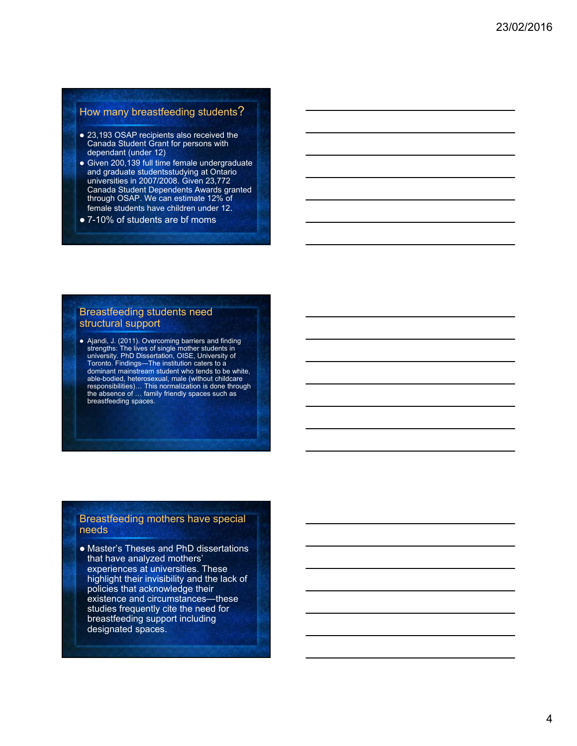### How many breastfeeding students?

- 23,193 OSAP recipients also received the Canada Student Grant for persons with dependant (under 12)
- Given 200,139 full time female undergraduate and graduate studentsstudying at Ontario universities in 2007/2008. Given 23,772 Canada Student Dependents Awards granted through OSAP. We can estimate 12% of female students have children under 12.
- 7-10% of students are bf moms

### Breastfeeding students need structural support

 Ajandi, J. (2011). Overcoming barriers and finding strengths: The lives of single mother students in university. PhD Dissertation, OISE, University of Toronto. Findings—The institution caters to a dominant mainstream student who tends to be white, able-bodied, heterosexual, male (without childcare responsibilities)… This normalization is done through the absence of … family friendly spaces such as breastfeeding spaces.

### Breastfeeding mothers have special needs

 Master's Theses and PhD dissertations that have analyzed mothers' experiences at universities. These highlight their invisibility and the lack of policies that acknowledge their existence and circumstances—these studies frequently cite the need for breastfeeding support including designated spaces.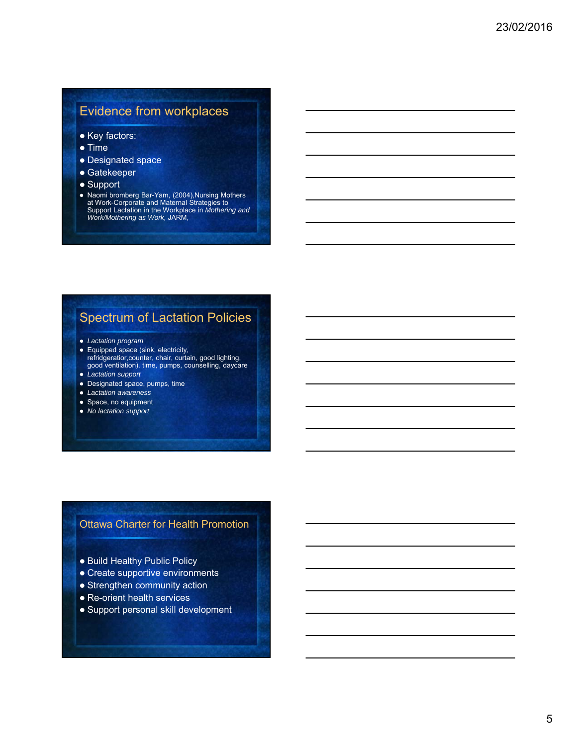## Evidence from workplaces

- Key factors:
- Time
- Designated space
- Gatekeeper
- Support
- Naomi bromberg Bar-Yam, (2004),Nursing Mothers at Work-Corporate and Maternal Strategies to Support Lactation in the Workplace in *Mothering and Work/Mothering as Work,* JARM,

## Spectrum of Lactation Policies

- *Lactation program*
- Equipped space (sink, electricity, refridgeratior,counter, chair, curtain, good lighting, good ventilation), time, pumps, counselling, daycare
- *Lactation support*
- Designated space, pumps, time
- *Lactation awareness*
- Space, no equipment
- *No lactation support*

### Ottawa Charter for Health Promotion

- Build Healthy Public Policy
- Create supportive environments
- Strengthen community action
- Re-orient health services
- Support personal skill development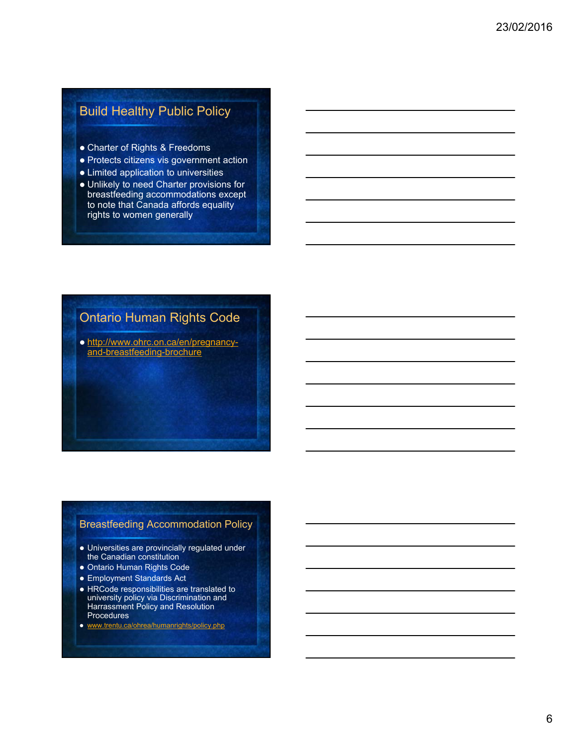## Build Healthy Public Policy

- Charter of Rights & Freedoms
- Protects citizens vis government action
- Limited application to universities
- Unlikely to need Charter provisions for breastfeeding accommodations except to note that Canada affords equality rights to women generally

## Ontario Human Rights Code

o http://www.ohrc.on.ca/en/pregnancyand-breastfeeding-brochure

### Breastfeeding Accommodation Policy

- Universities are provincially regulated under the Canadian constitution
- Ontario Human Rights Code
- Employment Standards Act
- HRCode responsibilities are translated to university policy via Discrimination and Harrassment Policy and Resolution Procedures
- www.trentu.ca/ohrea/humanrights/policy.php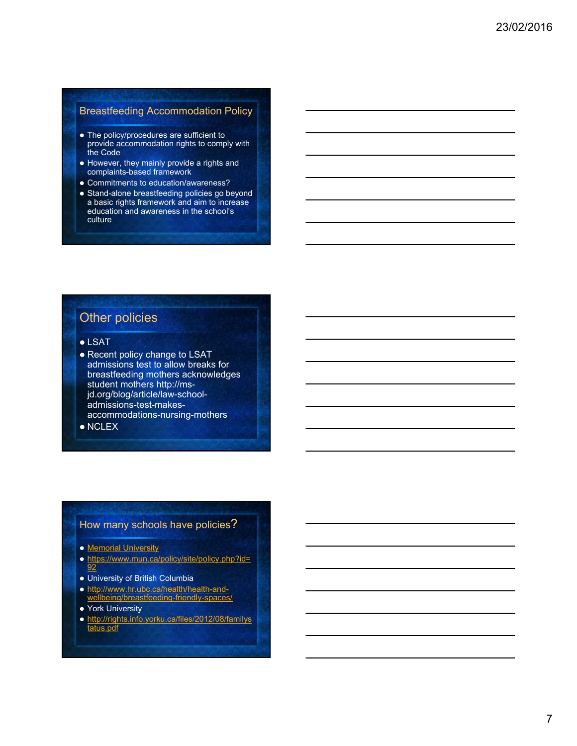### Breastfeeding Accommodation Policy

- The policy/procedures are sufficient to provide accommodation rights to comply with the Code
- However, they mainly provide a rights and complaints-based framework
- Commitments to education/awareness?
- Stand-alone breastfeeding policies go beyond a basic rights framework and aim to increase education and awareness in the school's culture

## Other policies

- LSAT
- Recent policy change to LSAT admissions test to allow breaks for breastfeeding mothers acknowledges student mothers http://msjd.org/blog/article/law-schooladmissions-test-makesaccommodations-nursing-mothers
- NCLEX

## How many schools have policies?

- Memorial University
- o https://www.mun.ca/policy/site/policy.php?id= 92
- University of British Columbia
- http://www.hr.ubc.ca/health/health-and-<u>ding-friendly-spa</u>
- **York University**
- http://rights.info.yorku.ca/files/2012/08/familys tatus.pdf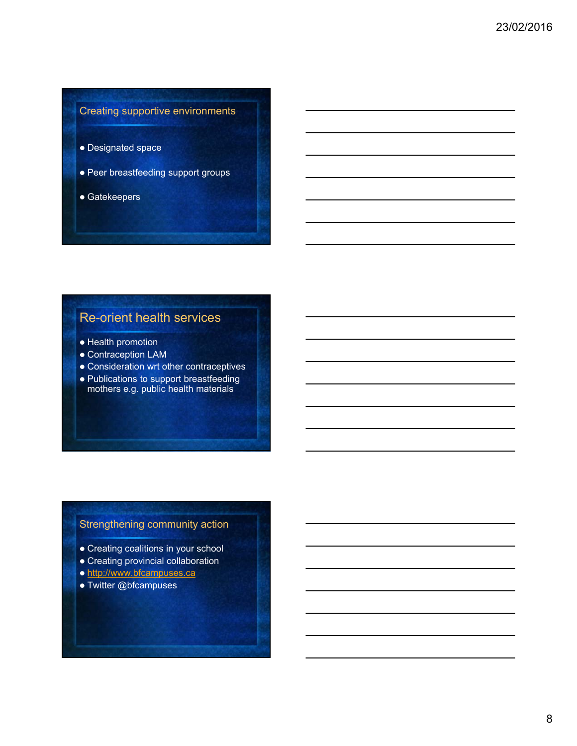## Creating supportive environments

- Designated space
- Peer breastfeeding support groups
- Gatekeepers

## Re-orient health services

- Health promotion
- Contraception LAM
- Consideration wrt other contraceptives
- Publications to support breastfeeding mothers e.g. public health materials

## Strengthening community action

- Creating coalitions in your school
- Creating provincial collaboration
- o http://www.bfcampuses.ca
- Twitter @bfcampuses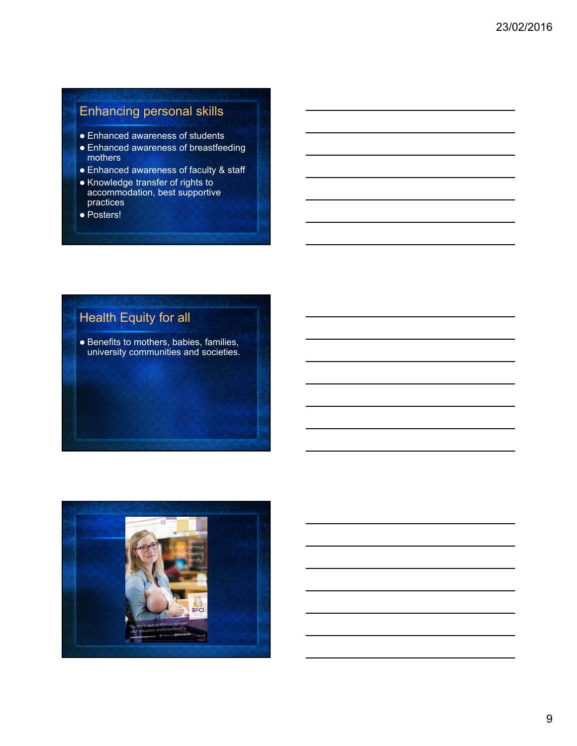## Enhancing personal skills

- Enhanced awareness of students
- Enhanced awareness of breastfeeding mothers
- Enhanced awareness of faculty & staff
- Knowledge transfer of rights to accommodation, best supportive practices
- Posters!

## Health Equity for all

**• Benefits to mothers, babies, families,** university communities and societies.

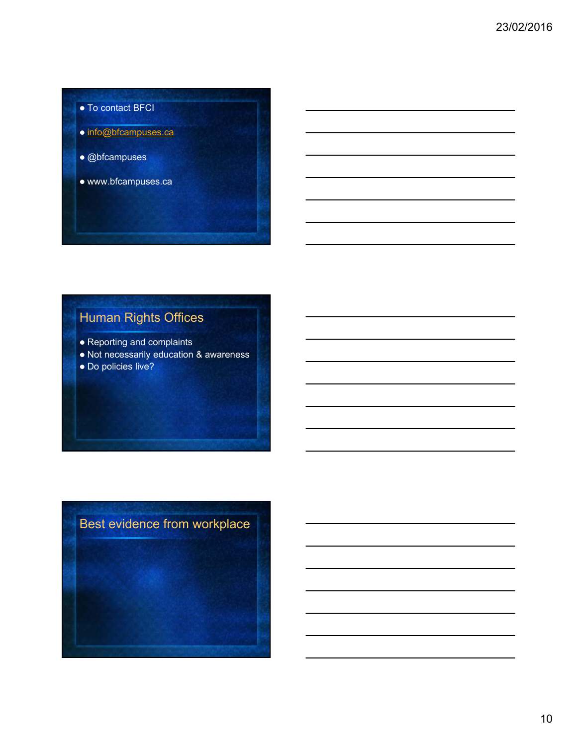- To contact BFCI o info@bfcampuses.ca @bfcampuses
	- www.bfcampuses.ca

## Human Rights Offices

- Reporting and complaints
- Not necessarily education & awareness
- Do policies live?

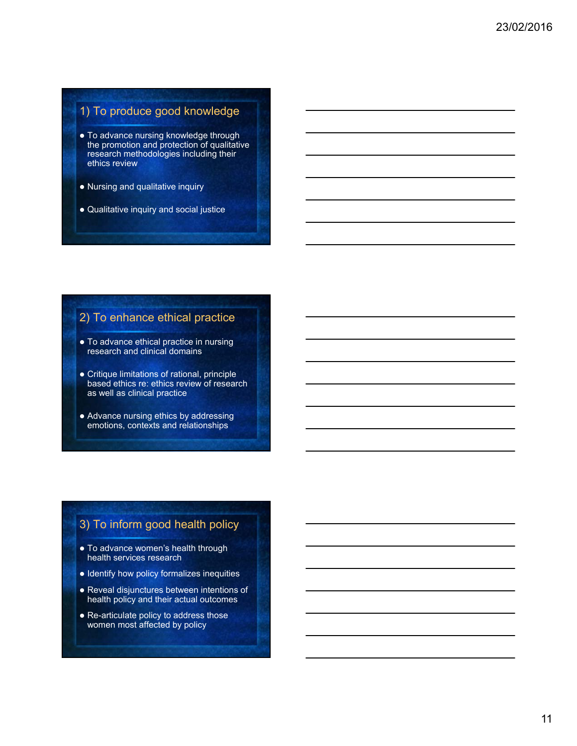## 1) To produce good knowledge

- To advance nursing knowledge through the promotion and protection of qualitative research methodologies including their ethics review
- Nursing and qualitative inquiry
- Qualitative inquiry and social justice

## 2) To enhance ethical practice

- To advance ethical practice in nursing research and clinical domains
- Critique limitations of rational, principle based ethics re: ethics review of research as well as clinical practice
- Advance nursing ethics by addressing emotions, contexts and relationships

## 3) To inform good health policy

- To advance women's health through health services research
- Identify how policy formalizes inequities
- Reveal disjunctures between intentions of health policy and their actual outcomes
- Re-articulate policy to address those women most affected by policy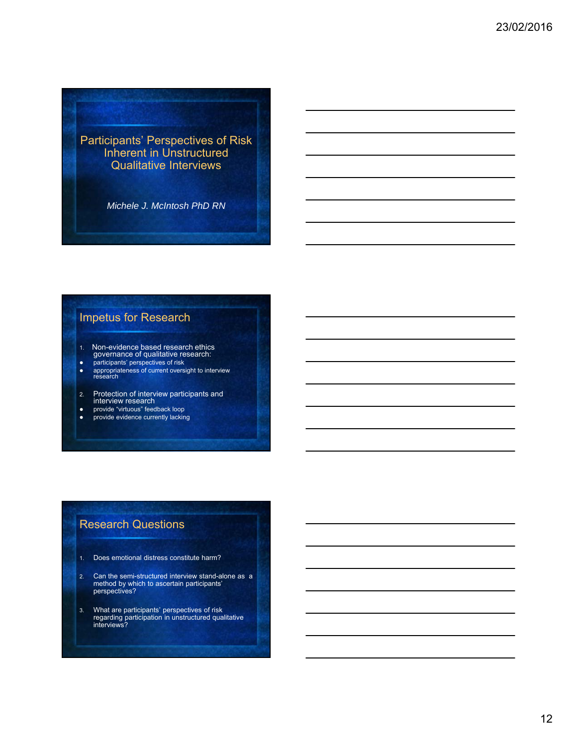Participants' Perspectives of Risk Inherent in Unstructured Qualitative Interviews

*Michele J. McIntosh PhD RN*

## Impetus for Research

- 1. Non-evidence based research ethics governance of qualitative research:
- participants' perspectives of risk
- appropriateness of current oversight to interview research
- 2. Protection of interview participants and interview research
- provide "virtuous" feedback loop
- provide evidence currently lacking

## Research Questions

- 1. Does emotional distress constitute harm?
- 2. Can the semi-structured interview stand-alone as a method by which to ascertain participants' perspectives?
- 3. What are participants' perspectives of risk regarding participation in unstructured qualitative interviews?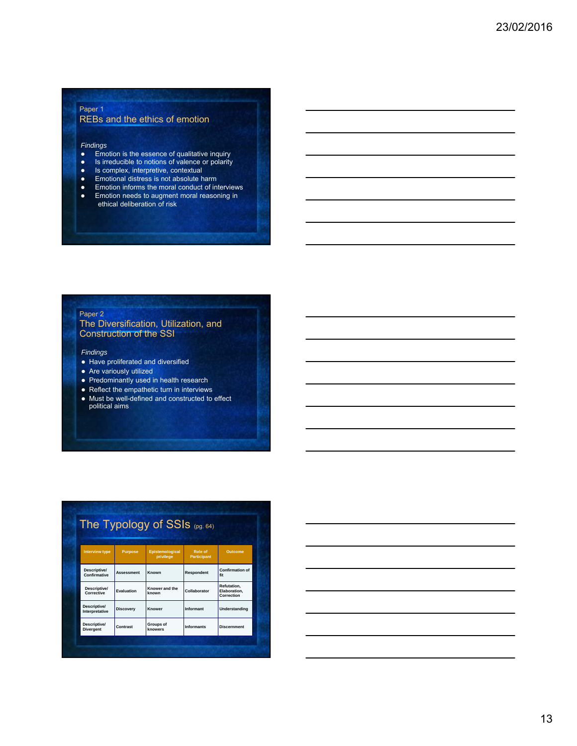#### Paper 1 REBs and the ethics of emotion

## *Findings*

- Emotion is the essence of qualitative inquiry
- Is irreducible to notions of valence or polarity
- Is complex, interpretive, contextual
- Emotional distress is not absolute harm<br>• Emotion informs the moral conduct of in
- Emotion informs the moral conduct of interviews<br>• Emotion needs to augment moral reasoning in Emotion needs to augment moral reasoning in
- ethical deliberation of risk

#### Paper 2

#### The Diversification, Utilization, and Construction of the SSI

#### *Findings*

- Have proliferated and diversified
- Are variously utilized
- Predominantly used in health research
- Reflect the empathetic turn in interviews
- Must be well-defined and constructed to effect political aims

|                                  |                   | The Typology of SSIs (pg. 64)       |                               |                                           |
|----------------------------------|-------------------|-------------------------------------|-------------------------------|-------------------------------------------|
| <b>Interview type</b>            | <b>Purpose</b>    | <b>Epistemological</b><br>privilege | Role of<br><b>Participant</b> | <b>Outcome</b>                            |
| Descriptive/<br>Confirmative     | <b>Assessment</b> | Known                               | Respondent                    | <b>Confirmation of</b><br>fit             |
| Descriptive/<br>Corrective       | Evaluation        | Knower and the<br>known             | Collaborator                  | Refutation.<br>Elaboration.<br>Correction |
| Descriptive/<br>Interpretative   | <b>Discovery</b>  | Knower                              | Informant                     | Understanding                             |
| Descriptive/<br><b>Divergent</b> | Contrast          | <b>Groups of</b><br>knowers         | <b>Informants</b>             | <b>Discernment</b>                        |

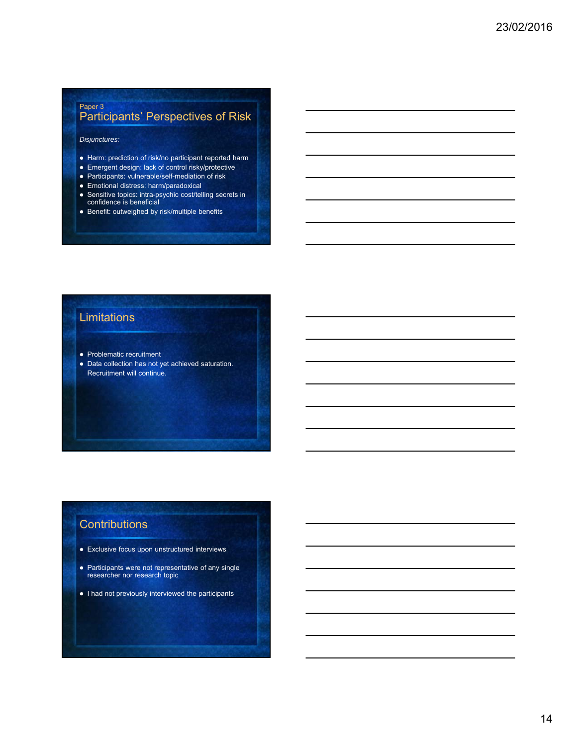### Paper 3 Participants' Perspectives of Risk

#### *Disjunctures:*

- Harm: prediction of risk/no participant reported harm
- Emergent design: lack of control risky/protective
- Participants: vulnerable/self-mediation of risk
- Emotional distress: harm/paradoxical
- Sensitive topics: intra-psychic cost/telling secrets in confidence is beneficial
- Benefit: outweighed by risk/multiple benefits

### Limitations

- Problematic recruitment
- Data collection has not yet achieved saturation. Recruitment will continue.

## **Contributions**

- Exclusive focus upon unstructured interviews
- Participants were not representative of any single researcher nor research topic
- I had not previously interviewed the participants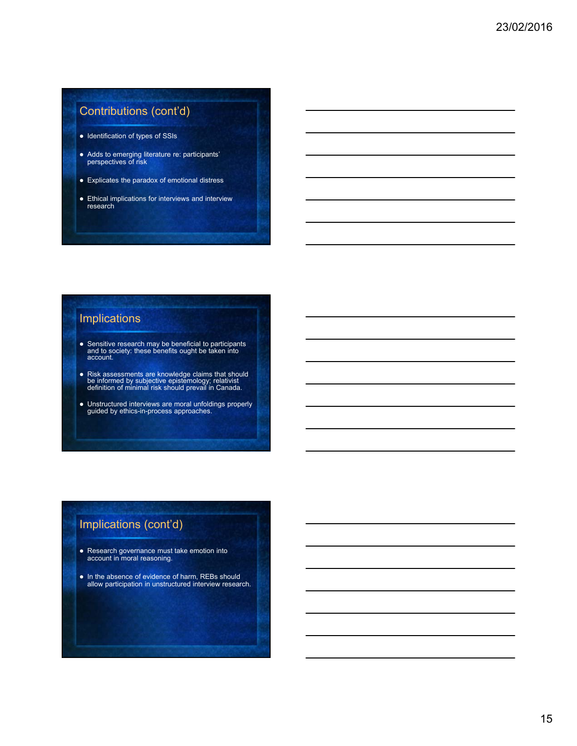## Contributions (cont'd)

- Identification of types of SSIs
- Adds to emerging literature re: participants' perspectives of risk
- Explicates the paradox of emotional distress
- Ethical implications for interviews and interview research

## Implications

- Sensitive research may be beneficial to participants and to society: these benefits ought be taken into account.
- Risk assessments are knowledge claims that should be informed by subjective epistemology; relativist definition of minimal risk should prevail in Canada.
- Unstructured interviews are moral unfoldings properly guided by ethics-in-process approaches.

### Implications (cont'd)

- Research governance must take emotion into account in moral reasoning.
- In the absence of evidence of harm, REBs should allow participation in unstructured interview research.